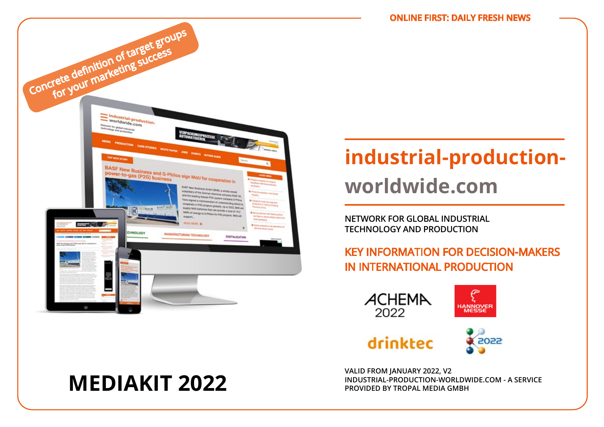

# **industrial-productionworldwide.com**

**NETWORK FOR GLOBAL INDUSTRIAL TECHNOLOGY AND PRODUCTION**

## KEY INFORMATION FOR DECISION-MAKERS IN INTERNATIONAL PRODUCTION



**MEDIAKIT 2022**

**VALID FROM JANUARY 2022, V2 INDUSTRIAL-PRODUCTION-WORLDWIDE.COM - A SERVICE PROVIDED BY TROPAL MEDIA GMBH**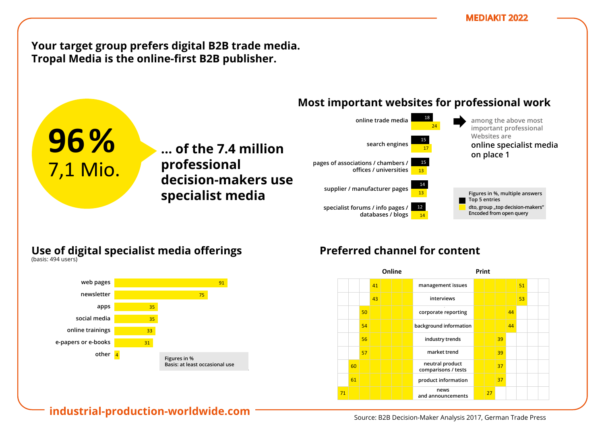**Your target group prefers digital B2B trade media.** Tropal Media is the online-first B2B publisher.

**… der 7,4 Mio. ... of the 7.4 million** 

**Entscheider**  80 **decision-makers use** 

**Professionellen professional** 

#### **Most important websites for professional work** vertretern/ Ämtern/e.V.s/ Instituten/ Unis t websites for prof



## **Use of digital specialist media offerings** Nutzung digitaler Fachmedien-Angebote

**nutzung ließen Fachanden Specialist media** 

**96%**

1 7,1 Mio.

am Arbeitsplatz

zu Hause

(Basis: 502 Nutzer)

(Basis: 494 Nutzer)



# Preferred channel for content

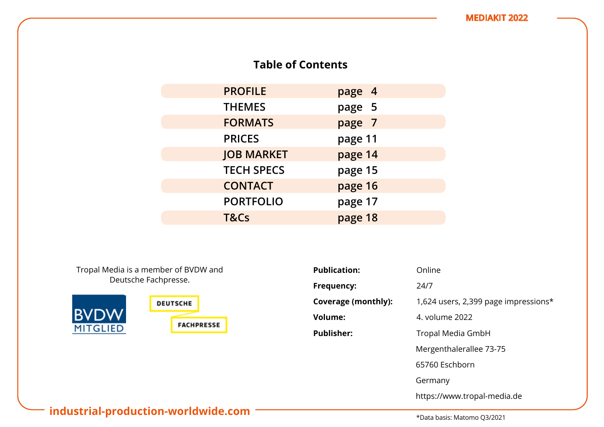## **Table of Contents**

| <b>PROFILE</b>    | page 4  |
|-------------------|---------|
| <b>THEMES</b>     | page 5  |
| <b>FORMATS</b>    | page 7  |
| <b>PRICES</b>     | page 11 |
| <b>JOB MARKET</b> | page 14 |
| <b>TECH SPECS</b> | page 15 |
| <b>CONTACT</b>    | page 16 |
| <b>PORTFOLIO</b>  | page 17 |
| T&Cs              | page 18 |

Tropal Media is a member of BVDW and Deutsche Fachpresse.



| <b>Publication:</b> | Online                               |
|---------------------|--------------------------------------|
| Frequency:          | 24/7                                 |
| Coverage (monthly): | 1,624 users, 2,399 page impressions* |
| <b>Volume:</b>      | 4. volume 2022                       |
| <b>Publisher:</b>   | Tropal Media GmbH                    |
|                     | Mergenthalerallee 73-75              |
|                     | 65760 Eschborn                       |
|                     | Germany                              |
|                     | https://www.tropal-media.de          |

## **industrial-production-worldwide.com**

\*Data basis: Matomo Q3/2021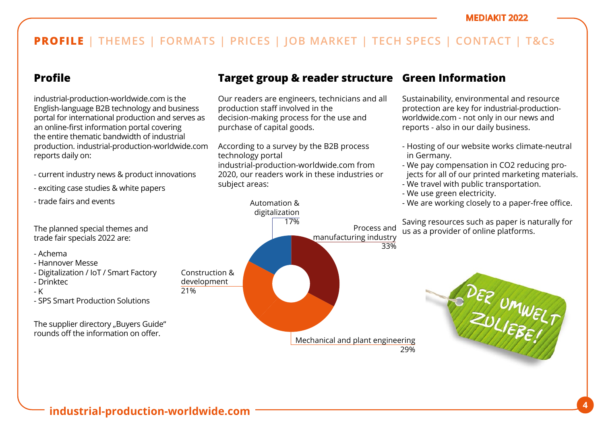## **Profile**

industrial-production-worldwide.com is the English-language B2B technology and business portal for international production and serves as an online-first information portal covering the entire thematic bandwidth of industrial production. industrial-production-worldwide.com reports daily on:

- current industry news & product innovations
- exciting case studies & white papers
- trade fairs and events

The planned special themes and trade fair specials 2022 are:

- Achema
- Hannover Messe
- Digitalization / IoT / Smart Factory
- Drinktec
- K
- SPS Smart Production Solutions

The supplier directory "Buyers Guide" rounds off the information on offer.

## **Target group & reader structure Green Information**

Our readers are engineers, technicians and all production staff involved in the decision-making process for the use and purchase of capital goods.

According to a survey by the B2B process technology portal industrial-production-worldwide.com from 2020, our readers work in these industries or subject areas:

## Automation & digitalization 17% Construction & development Mechanical and plant engineering 29% Process and manufacturing industry 33%

Sustainability, environmental and resource protection are key for industrial-productionworldwide.com - not only in our news and reports - also in our daily business.

- Hosting of our website works climate-neutral in Germany.
- We pay compensation in CO2 reducing projects for all of our printed marketing materials.
- We travel with public transportation.
- We use green electricity.
- We are working closely to a paper-free office.

Saving resources such as paper is naturally for us as a provider of online platforms.



21%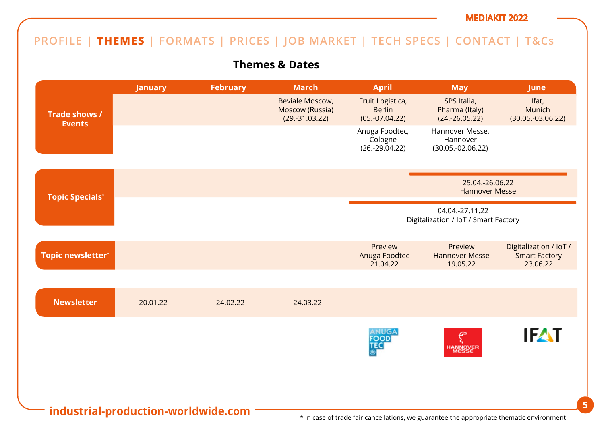## **PROFILE | THEMES | FORMATS | PRICES | JOB MARKET | TECH SPECS | CONTACT | T&Cs**

## **Themes & Dates**

|                                     | <b>January</b> | <b>February</b> | <b>March</b>                                           | <b>April</b>                                            | <b>May</b>                                                                               | <b>June</b>                                                |
|-------------------------------------|----------------|-----------------|--------------------------------------------------------|---------------------------------------------------------|------------------------------------------------------------------------------------------|------------------------------------------------------------|
| Trade shows /<br><b>Events</b>      |                |                 | Beviale Moscow,<br>Moscow (Russia)<br>$(29.-31.03.22)$ | Fruit Logistica,<br><b>Berlin</b><br>$(05.-07.04.22)$   | SPS Italia,<br>Pharma (Italy)<br>$(24.-26.05.22)$                                        | Ifat,<br>Munich<br>$(30.05.-03.06.22)$                     |
|                                     |                |                 |                                                        | Anuga Foodtec,<br>Cologne<br>$(26.-29.04.22)$           | Hannover Messe,<br>Hannover<br>$(30.05.-02.06.22)$                                       |                                                            |
| <b>Topic Specials*</b>              |                |                 |                                                        |                                                         | 25.04.-26.06.22<br><b>Hannover Messe</b>                                                 |                                                            |
|                                     |                |                 |                                                        | 04.04.-27.11.22<br>Digitalization / IoT / Smart Factory |                                                                                          |                                                            |
| Topic newsletter*                   |                |                 |                                                        | Preview<br>Anuga Foodtec<br>21.04.22                    | Preview<br><b>Hannover Messe</b><br>19.05.22                                             | Digitalization / IoT /<br><b>Smart Factory</b><br>23.06.22 |
| <b>Newsletter</b>                   | 20.01.22       | 24.02.22        | 24.03.22                                               |                                                         |                                                                                          |                                                            |
|                                     |                |                 |                                                        | ANUGA<br><b>FOOD</b><br>TEC                             | HANNOVER<br>MESSE                                                                        | <b>IFAT</b>                                                |
| industrial-production-worldwide.com |                |                 |                                                        |                                                         | * in case of trade fair cancellations, we guarantee the appropriate thematic environment |                                                            |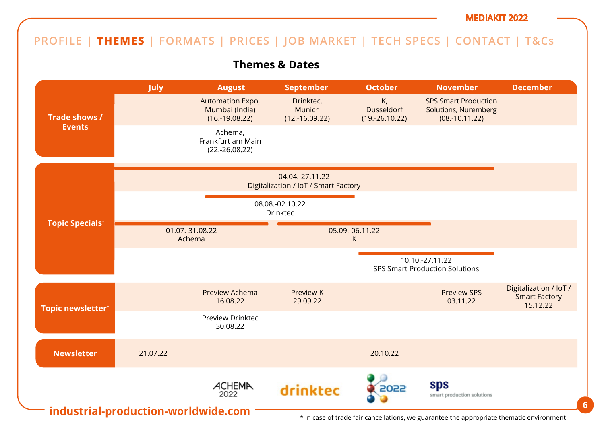## **PROFILE | THEMES | FORMATS | PRICES | JOB MARKET | TECH SPECS | CONTACT | T&Cs**

**Themes & Dates**



\* in case of trade fair cancellations, we guarantee the appropriate thematic environment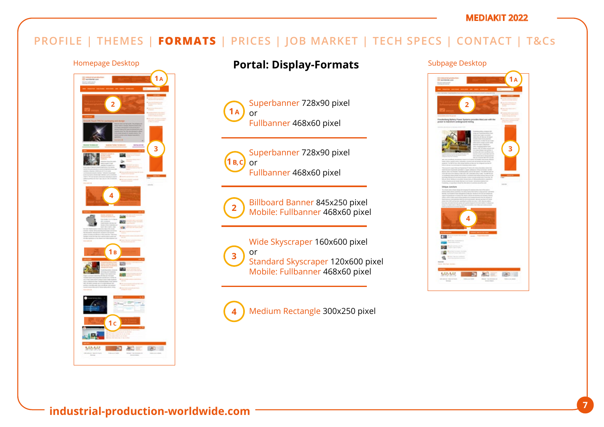## **PROFILE | THEMES | FORMATS | PRICES | JOB MARKET | TECH SPECS | CONTACT | T&Cs**



## Homepage Desktop **Portal: Display-Formats** Subpage Desktop





**3**

Superbanner 728x90 pixel or Fullbanner 468x60 pixel



Billboard Banner 845x250 pixel Mobile: Fullbanner 468x60 pixel

Wide Skyscraper 160x600 pixel or Standard Skyscraper 120x600 pixel Mobile: Fullbanner 468x60 pixel

Medium Rectangle 300x250 pixel **4**

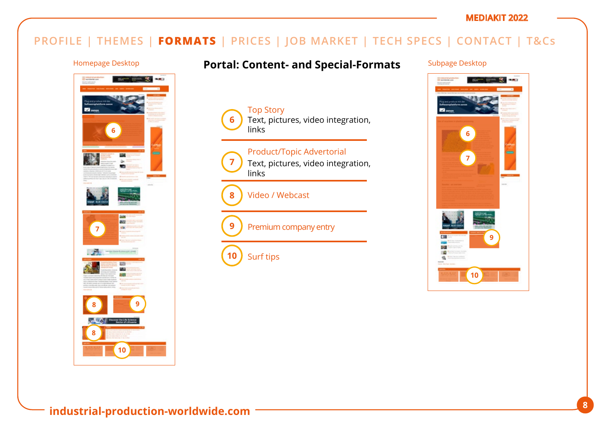## **PROFILE | THEMES | FORMATS | PRICES | JOB MARKET | TECH SPECS | CONTACT | T&Cs**

Top Story

links

**6**

**7**

**9**

**10**

**8**

links

Surf tips

Video / Webcast



## Homepage Desktop **Fortal: Content- and Special-Formats** Subpage Desktop

Text, pictures, video integration,

Text, pictures, video integration,

Product/Topic Advertorial

Premium company entry

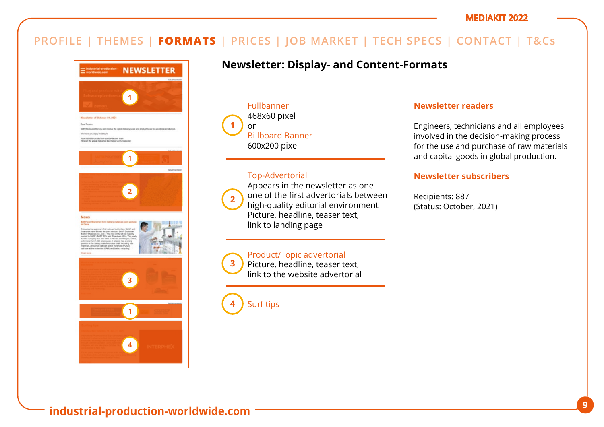## **PROFILE | THEMES | FORMATS | PRICES | JOB MARKET | TECH SPECS | CONTACT | T&Cs**



## **Newsletter: Display- and Content-Formats**

Fullbanner 468x60 pixel or Billboard Banner 600x200 pixel **1**

### Top-Advertorial



**3**

Appears in the newsletter as one one of the first advertorials between high-quality editorial environment Picture, headline, teaser text, link to landing page

### Product/Topic advertorial

Picture, headline, teaser text, link to the website advertorial

Surf tips **4**

### **Newsletter readers**

Engineers, technicians and all employees involved in the decision-making process for the use and purchase of raw materials and capital goods in global production.

### **Newsletter subscribers**

Recipients: 887 (Status: October, 2021)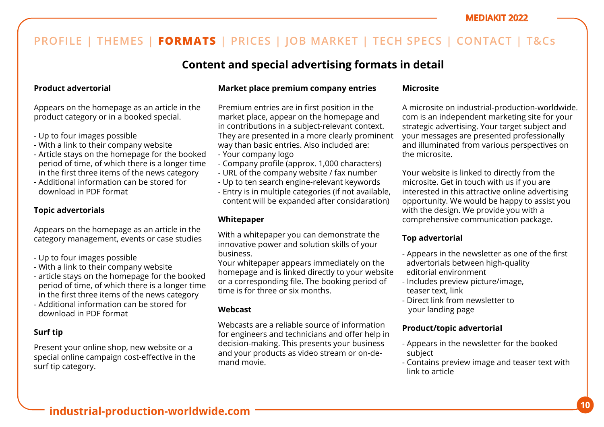## **Content and special advertising formats in detail**

### **Product advertorial**

Appears on the homepage as an article in the product category or in a booked special.

- Up to four images possible
- With a link to their company website
- Article stays on the homepage for the booked period of time, of which there is a longer time in the first three items of the news category
- Additional information can be stored for download in PDF format

### **Topic advertorials**

Appears on the homepage as an article in the category management, events or case studies

- Up to four images possible
- With a link to their company website
- article stays on the homepage for the booked period of time, of which there is a longer time in the first three items of the news category
- Additional information can be stored for download in PDF format

### **Surf tip**

Present your online shop, new website or a special online campaign cost-effective in the surf tip category.

### **Market place premium company entries**

Premium entries are in first position in the market place, appear on the homepage and in contributions in a subject-relevant context. They are presented in a more clearly prominent way than basic entries. Also included are:

- Your company logo
- Company profile (approx. 1,000 characters)
- URL of the company website / fax number
- Up to ten search engine-relevant keywords
- Entry is in multiple categories (if not available, content will be expanded after considaration)

### **Whitepaper**

With a whitepaper you can demonstrate the innovative power and solution skills of your business.

Your whitepaper appears immediately on the homepage and is linked directly to your website or a corresponding file. The booking period of time is for three or six months.

### **Webcast**

Webcasts are a reliable source of information for engineers and technicians and offer help in decision-making. This presents your business and your products as video stream or on-demand movie.

### **Microsite**

A microsite on industrial-production-worldwide. com is an independent marketing site for your strategic advertising. Your target subject and your messages are presented professionally and illuminated from various perspectives on the microsite.

Your website is linked to directly from the microsite. Get in touch with us if you are interested in this attractive online advertising opportunity. We would be happy to assist you with the design. We provide you with a comprehensive communication package.

### **Top advertorial**

- Appears in the newsletter as one of the first advertorials between high-quality editorial environment
- Includes preview picture/image, teaser text, link
- Direct link from newsletter to your landing page

### **Product/topic advertorial**

- Appears in the newsletter for the booked subject
- Contains preview image and teaser text with link to article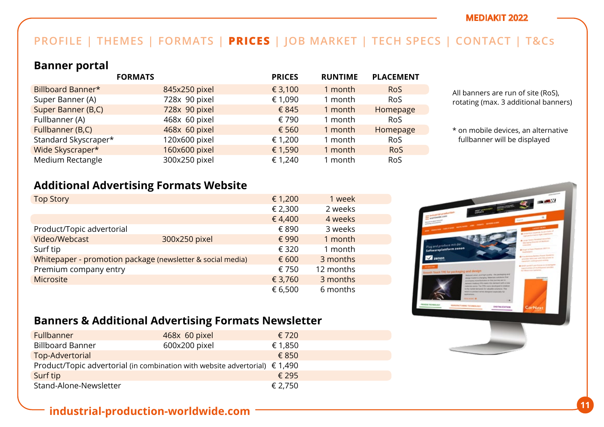## **PROFILE | THEMES | FORMATS | PRICES | JOB MARKET | TECH SPECS | CONTACT | T&Cs**

## **Banner portal**

|                      | <b>FORMATS</b> | <b>PRICES</b> | <b>RUNTIME</b> | <b>PLACEMENT</b> |
|----------------------|----------------|---------------|----------------|------------------|
| Billboard Banner*    | 845x250 pixel  | € 3,100       | 1 month        | <b>RoS</b>       |
| Super Banner (A)     | 728x 90 pixel  | € 1,090       | 1 month        | <b>RoS</b>       |
| Super Banner (B,C)   | 728x 90 pixel  | € 845         | 1 month        | Homepage         |
| Fullbanner (A)       | 468x 60 pixel  | € 790         | 1 month        | <b>RoS</b>       |
| Fullbanner (B,C)     | 468x 60 pixel  | € 560         | 1 month        | Homepage         |
| Standard Skyscraper* | 120x600 pixel  | € 1,200       | 1 month        | <b>RoS</b>       |
| Wide Skyscraper*     | 160x600 pixel  | € 1,590       | 1 month        | <b>RoS</b>       |
| Medium Rectangle     | 300x250 pixel  | € 1,240       | 1 month        | <b>RoS</b>       |

All banners are run of site (RoS), rotating (max. 3 additional banners)

\* on mobile devices, an alternative fullbanner will be displayed

## **Additional Advertising Formats Website**

| <b>Top Story</b>                                           |               | € 1,200 | 1 week    |  |
|------------------------------------------------------------|---------------|---------|-----------|--|
|                                                            |               | € 2,300 | 2 weeks   |  |
|                                                            |               | €4,400  | 4 weeks   |  |
| Product/Topic advertorial                                  |               | € 890   | 3 weeks   |  |
| Video/Webcast                                              | 300x250 pixel | € 990   | 1 month   |  |
| Surf tip                                                   |               | € 320   | 1 month   |  |
| Whitepaper - promotion package (newsletter & social media) |               | € 600   | 3 months  |  |
| Premium company entry                                      |               | € 750   | 12 months |  |
| <b>Microsite</b>                                           |               | € 3,760 | 3 months  |  |
|                                                            |               | € 6,500 | 6 months  |  |



## **Banners & Additional Advertising Formats Newsletter**

| Fullbanner                                                                           | 468x 60 pixel | € 720          |
|--------------------------------------------------------------------------------------|---------------|----------------|
| <b>Billboard Banner</b>                                                              | 600x200 pixel | € 1,850        |
| Top-Advertorial                                                                      |               | € 850          |
| Product/Topic advertorial (in combination with website advertorial) $\epsilon$ 1,490 |               |                |
| Surf tip                                                                             |               | $\epsilon$ 295 |
| Stand-Alone-Newsletter                                                               |               | € 2,750        |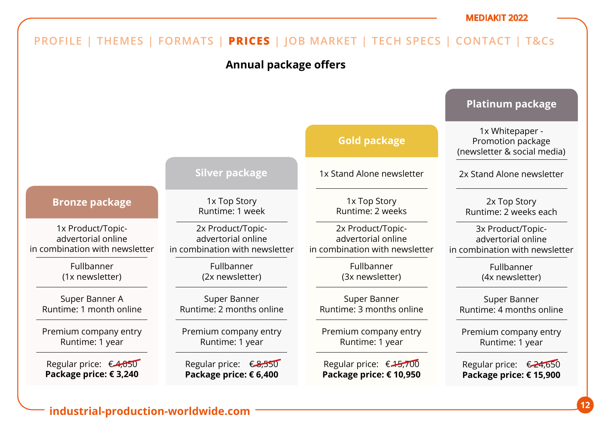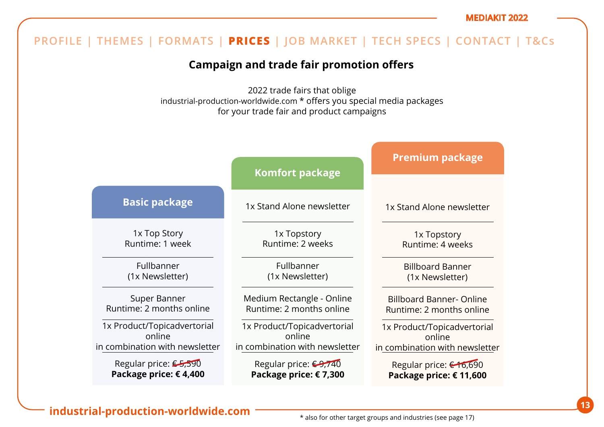## **Campaign and trade fair promotion offers**

2022 trade fairs that oblige industrial-production-worldwide.com \* offers you special media packages for your trade fair and product campaigns

|                                | <b>Komfort package</b>           | <b>Premium package</b>          |
|--------------------------------|----------------------------------|---------------------------------|
|                                |                                  |                                 |
| <b>Basic package</b>           | 1x Stand Alone newsletter        | 1x Stand Alone newsletter       |
| 1x Top Story                   | 1x Topstory                      | 1x Topstory                     |
| Runtime: 1 week                | Runtime: 2 weeks                 | Runtime: 4 weeks                |
| Fullbanner                     | Fullbanner                       | <b>Billboard Banner</b>         |
| (1x Newsletter)                | (1x Newsletter)                  | (1x Newsletter)                 |
| Super Banner                   | Medium Rectangle - Online        | <b>Billboard Banner- Online</b> |
| Runtime: 2 months online       | Runtime: 2 months online         | Runtime: 2 months online        |
| 1x Product/Topicadvertorial    | 1x Product/Topicadvertorial      | 1x Product/Topicadvertorial     |
| online                         | online                           | online                          |
| in combination with newsletter | in combination with newsletter   | in combination with newsletter  |
| Regular price: €5,590          | Regular price: <del>€9,740</del> | Regular price: €16,690          |
| Package price: €4,400          | Package price: €7,300            | Package price: € 11,600         |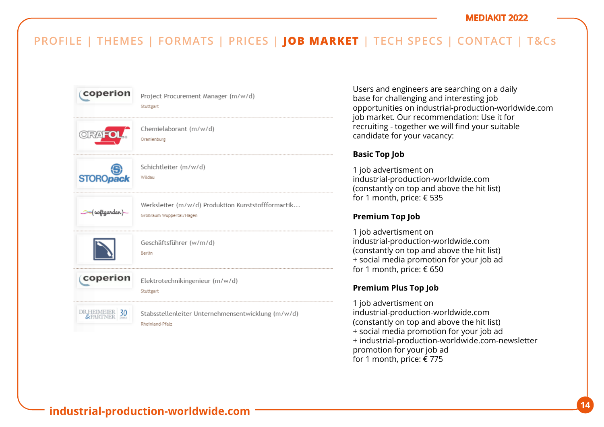| coperion         | Project Procurement Manager (m/w/d)<br>Stuttgart                               |
|------------------|--------------------------------------------------------------------------------|
|                  | Chemielaborant (m/w/d)<br>Oranienburg                                          |
| <b>STOROpack</b> | Schichtleiter (m/w/d)<br>Wildau                                                |
| (softgarden)     | Werksleiter (m/w/d) Produktion Kunststoffformartik<br>Großraum Wuppertal/Hagen |
|                  | Geschäftsführer (w/m/d)<br>Berlin                                              |
| coperion         | Elektrotechnikingenieur (m/w/d)<br>Stuttgart                                   |
| DR.HEIMEIER 30   | Stabsstellenleiter Unternehmensentwicklung (m/w/d)<br>Rheinland-Pfalz          |

Users and engineers are searching on a daily base for challenging and interesting job opportunities on industrial-production-worldwide.com job market. Our recommendation: Use it for recruiting - together we will find your suitable candidate for your vacancy:

### **Basic Top Job**

1 job advertisment on industrial-production-worldwide.com (constantly on top and above the hit list) for 1 month, price: € 535

### **Premium Top Job**

1 job advertisment on industrial-production-worldwide.com (constantly on top and above the hit list) + social media promotion for your job ad for 1 month, price: € 650

### **Premium Plus Top Job**

1 job advertisment on industrial-production-worldwide.com (constantly on top and above the hit list) + social media promotion for your job ad + industrial-production-worldwide.com-newsletter promotion for your job ad for 1 month, price: € 775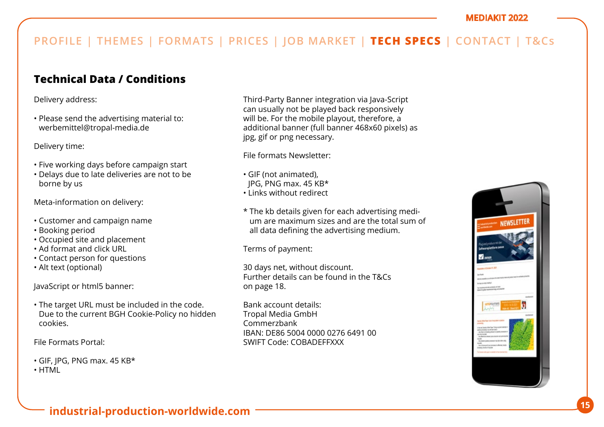## **Technical Data / Conditions**

Delivery address:

• Please send the advertising material to: werbemittel@tropal-media.de

Delivery time:

- Five working days before campaign start
- Delays due to late deliveries are not to be borne by us

Meta-information on delivery:

- Customer and campaign name
- Booking period
- Occupied site and placement
- Ad format and click URL
- Contact person for questions
- Alt text (optional)

JavaScript or html5 banner:

• The target URL must be included in the code. Due to the current BGH Cookie-Policy no hidden cookies.

File Formats Portal:

- GIF, JPG, PNG max. 45 KB\*
- HTML

Third-Party Banner integration via Java-Script can usually not be played back responsively will be. For the mobile playout, therefore, a additional banner (full banner 468x60 pixels) as jpg, gif or png necessary.

File formats Newsletter:

- GIF (not animated),
- JPG, PNG max. 45 KB\*
- Links without redirect
- \* The kb details given for each advertising medium are maximum sizes and are the total sum of all data defining the advertising medium.

Terms of payment:

30 days net, without discount. Further details can be found in the T&Cs on page 18.

Bank account details: Tropal Media GmbH Commerzbank IBAN: DE86 5004 0000 0276 6491 00 SWIFT Code: COBADEFFXXX

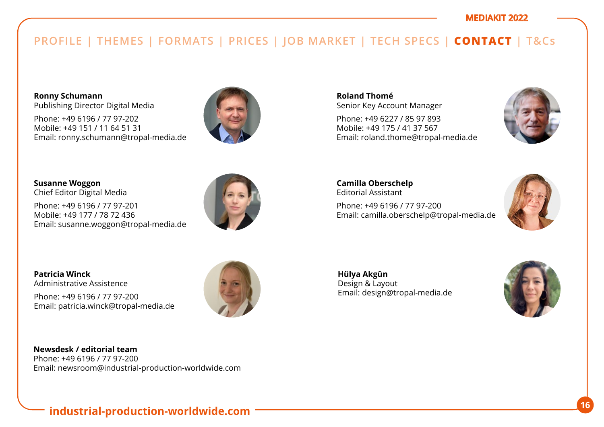**Ronny Schumann**  Publishing Director Digital Media

Phone: +49 6196 / 77 97-202 Mobile: +49 151 / 11 64 51 31 Email: ronny.schumann@tropal-media.de



**Susanne Woggon**  Chief Editor Digital Media

Phone: +49 6196 / 77 97-201 Mobile: +49 177 / 78 72 436 Email: susanne.woggon@tropal-media.de



**Patricia Winck** Administrative Assistence

Phone: +49 6196 / 77 97-200 Email: patricia.winck@tropal-media.de



**Newsdesk / editorial team** Phone: +49 6196 / 77 97-200 Email: newsroom@industrial-production-worldwide.com **Roland Thomé** Senior Key Account Manager

Phone: +49 6227 / 85 97 893 Mobile: +49 175 / 41 37 567 Email: roland.thome@tropal-media.de



**Camilla Oberschelp** Editorial Assistant Phone: +49 6196 / 77 97-200 Email: camilla.oberschelp@tropal-media.de



**Hülya Akgün**  Design & Layout Email: design@tropal-media.de

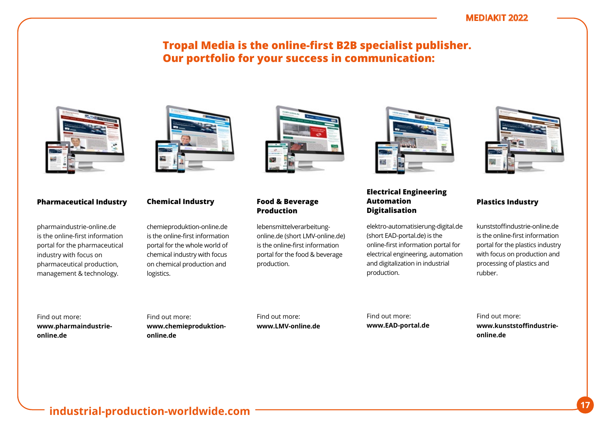## **Tropal Media is the online-first B2B specialist publisher. Our portfolio for your success in communication:**



### **Pharmaceutical Industry**

pharmaindustrie-online.de is the online-first information portal for the pharmaceutical industry with focus on pharmaceutical production, management & technology.



#### **Chemical Industry**

chemieproduktion-online.de is the online-first information portal for the whole world of chemical industry with focus on chemical production and logistics.



#### **Food & Beverage Production**

lebensmittelverarbeitungonline.de (short LMV-online.de) is the online-first information portal for the food & beverage production.



### **Electrical Engineering Automation Digitalisation**

elektro-automatisierung-digital.de (short EAD-portal.de) is the online-first information portal for electrical engineering, automation and digitalization in industrial production.



#### **Plastics Industry**

kunststoffindustrie-online.de is the online-first information portal for the plastics industry with focus on production and processing of plastics and rubber.

Find out more: **www.pharmaindustrieonline.de**

Find out more: **www.chemieproduktiononline.de**

Find out more: **www.LMV-online.de** Find out more: **www.EAD-portal.de** Find out more: **www.kunststoffindustrieonline.de**